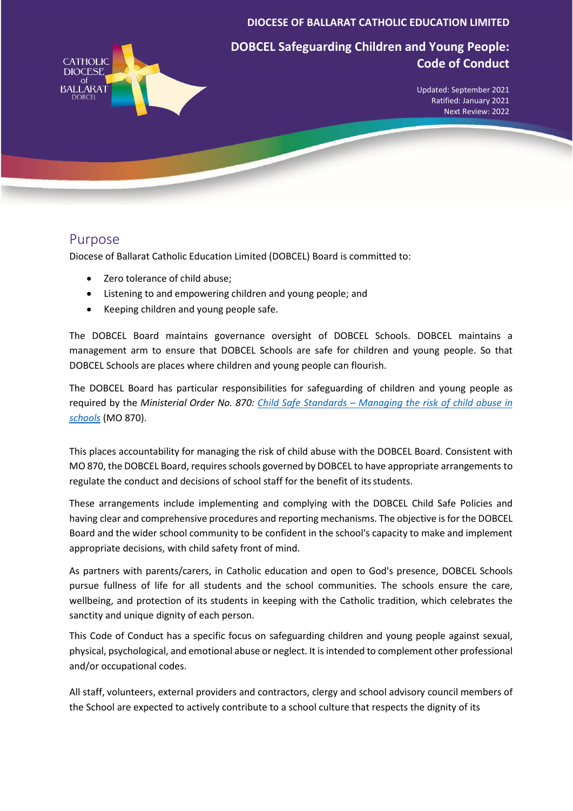### **DIOCESE OF BALLARAT CATHOLIC EDUCATION LIMITED**



**DOBCEL Safeguarding Children and Young People: Code of Conduct**

> Updated: September 2021 Ratified: January 2021 Next Review: 2022

### Purpose

Diocese of Ballarat Catholic Education Limited (DOBCEL) Board is committed to:

- Zero tolerance of child abuse:
- Listening to and empowering children and young people; and
- Keeping children and young people safe.

The DOBCEL Board maintains governance oversight of DOBCEL Schools. DOBCEL maintains a management arm to ensure that DOBCEL Schools are safe for children and young people. So that DOBCEL Schools are places where children and young people can flourish.

The DOBCEL Board has particular responsibilities for safeguarding of children and young people as required by the *Ministerial Order No. 870: [Child Safe Standards – Managing the risk of child abuse in](https://www.vrqa.vic.gov.au/childsafe/pages/documents/Min%20Order%20870%20Child%20Safe%20Standards.pdf) [schools](https://www.vrqa.vic.gov.au/childsafe/pages/documents/Min%20Order%20870%20Child%20Safe%20Standards.pdf)* (MO 870).

This places accountability for managing the risk of child abuse with the DOBCEL Board. Consistent with MO 870, the DOBCEL Board, requires schools governed by DOBCEL to have appropriate arrangements to regulate the conduct and decisions of school staff for the benefit of its students.

These arrangements include implementing and complying with the DOBCEL Child Safe Policies and having clear and comprehensive procedures and reporting mechanisms. The objective is for the DOBCEL Board and the wider school community to be confident in the school's capacity to make and implement appropriate decisions, with child safety front of mind.

As partners with parents/carers, in Catholic education and open to God's presence, DOBCEL Schools pursue fullness of life for all students and the school communities. The schools ensure the care, wellbeing, and protection of its students in keeping with the Catholic tradition, which celebrates the sanctity and unique dignity of each person.

This Code of Conduct has a specific focus on safeguarding children and young people against sexual, physical, psychological, and emotional abuse or neglect. It is intended to complement other professional and/or occupational codes.

All staff, volunteers, external providers and contractors, clergy and school advisory council members of the School are expected to actively contribute to a school culture that respects the dignity of its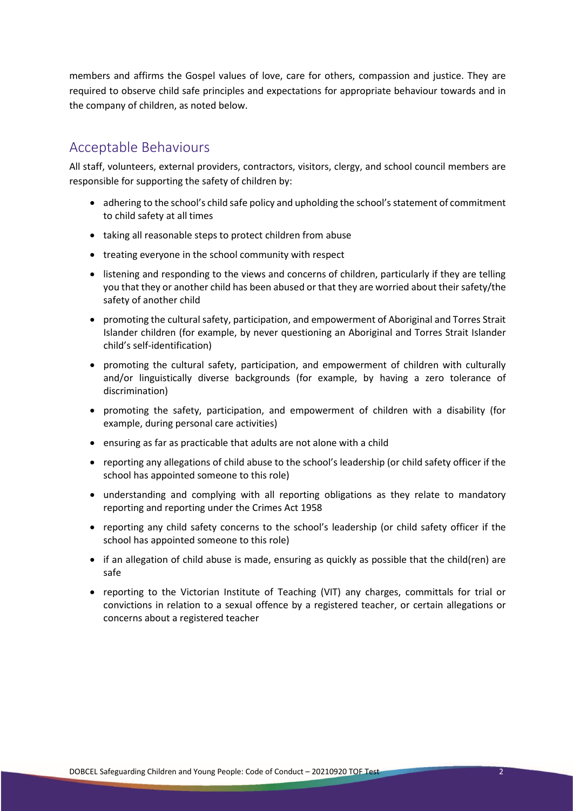members and affirms the Gospel values of love, care for others, compassion and justice. They are required to observe child safe principles and expectations for appropriate behaviour towards and in the company of children, as noted below.

## Acceptable Behaviours

All staff, volunteers, external providers, contractors, visitors, clergy, and school council members are responsible for supporting the safety of children by:

- adhering to the school's child safe policy and upholding the school's statement of commitment to child safety at all times
- taking all reasonable steps to protect children from abuse
- treating everyone in the school community with respect
- listening and responding to the views and concerns of children, particularly if they are telling you that they or another child has been abused or that they are worried about their safety/the safety of another child
- promoting the cultural safety, participation, and empowerment of Aboriginal and Torres Strait Islander children (for example, by never questioning an Aboriginal and Torres Strait Islander child's self-identification)
- promoting the cultural safety, participation, and empowerment of children with culturally and/or linguistically diverse backgrounds (for example, by having a zero tolerance of discrimination)
- promoting the safety, participation, and empowerment of children with a disability (for example, during personal care activities)
- ensuring as far as practicable that adults are not alone with a child
- reporting any allegations of child abuse to the school's leadership (or child safety officer if the school has appointed someone to this role)
- understanding and complying with all reporting obligations as they relate to mandatory reporting and reporting under the Crimes Act 1958
- reporting any child safety concerns to the school's leadership (or child safety officer if the school has appointed someone to this role)
- if an allegation of child abuse is made, ensuring as quickly as possible that the child(ren) are safe
- reporting to the Victorian Institute of Teaching (VIT) any charges, committals for trial or convictions in relation to a sexual offence by a registered teacher, or certain allegations or concerns about a registered teacher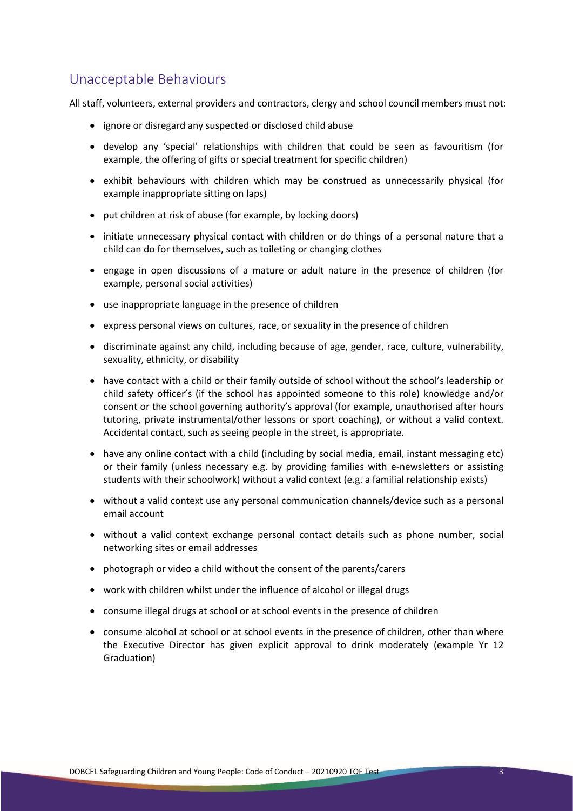## Unacceptable Behaviours

All staff, volunteers, external providers and contractors, clergy and school council members must not:

- ignore or disregard any suspected or disclosed child abuse
- develop any 'special' relationships with children that could be seen as favouritism (for example, the offering of gifts or special treatment for specific children)
- exhibit behaviours with children which may be construed as unnecessarily physical (for example inappropriate sitting on laps)
- put children at risk of abuse (for example, by locking doors)
- initiate unnecessary physical contact with children or do things of a personal nature that a child can do for themselves, such as toileting or changing clothes
- engage in open discussions of a mature or adult nature in the presence of children (for example, personal social activities)
- use inappropriate language in the presence of children
- express personal views on cultures, race, or sexuality in the presence of children
- discriminate against any child, including because of age, gender, race, culture, vulnerability, sexuality, ethnicity, or disability
- have contact with a child or their family outside of school without the school's leadership or child safety officer's (if the school has appointed someone to this role) knowledge and/or consent or the school governing authority's approval (for example, unauthorised after hours tutoring, private instrumental/other lessons or sport coaching), or without a valid context. Accidental contact, such as seeing people in the street, is appropriate.
- have any online contact with a child (including by social media, email, instant messaging etc) or their family (unless necessary e.g. by providing families with e-newsletters or assisting students with their schoolwork) without a valid context (e.g. a familial relationship exists)
- without a valid context use any personal communication channels/device such as a personal email account
- without a valid context exchange personal contact details such as phone number, social networking sites or email addresses
- photograph or video a child without the consent of the parents/carers
- work with children whilst under the influence of alcohol or illegal drugs
- consume illegal drugs at school or at school events in the presence of children
- consume alcohol at school or at school events in the presence of children, other than where the Executive Director has given explicit approval to drink moderately (example Yr 12 Graduation)